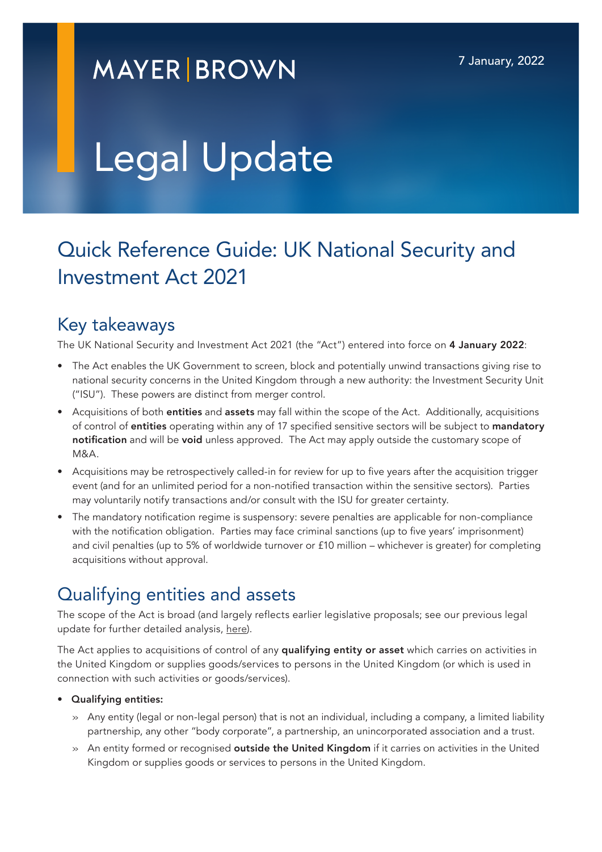## **MAYER BROWN**

# Legal Update

### Quick Reference Guide: UK National Security and Investment Act 2021

#### Key takeaways

The UK National Security and Investment Act 2021 (the "Act") entered into force on 4 January 2022:

- The Act enables the UK Government to screen, block and potentially unwind transactions giving rise to national security concerns in the United Kingdom through a new authority: the Investment Security Unit ("ISU"). These powers are distinct from merger control.
- Acquisitions of both entities and assets may fall within the scope of the Act. Additionally, acquisitions of control of entities operating within any of 17 specified sensitive sectors will be subject to mandatory notification and will be void unless approved. The Act may apply outside the customary scope of M&A.
- Acquisitions may be retrospectively called-in for review for up to five years after the acquisition trigger event (and for an unlimited period for a non-notified transaction within the sensitive sectors). Parties may voluntarily notify transactions and/or consult with the ISU for greater certainty.
- The mandatory notification regime is suspensory: severe penalties are applicable for non-compliance with the notification obligation. Parties may face criminal sanctions (up to five years' imprisonment) and civil penalties (up to 5% of worldwide turnover or £10 million – whichever is greater) for completing acquisitions without approval.

### Qualifying entities and assets

The scope of the Act is broad (and largely reflects earlier legislative proposals; see our previous legal update for further detailed analysis, [here](https://www.mayerbrown.com/en/perspectives-events/publications/2020/11/uk-government-publishes-far-reaching-national-security-and-investment-bill)).

The Act applies to acquisitions of control of any **qualifying entity or asset** which carries on activities in the United Kingdom or supplies goods/services to persons in the United Kingdom (or which is used in connection with such activities or goods/services).

#### • Qualifying entities:

- » Any entity (legal or non-legal person) that is not an individual, including a company, a limited liability partnership, any other "body corporate", a partnership, an unincorporated association and a trust.
- » An entity formed or recognised **outside the United Kingdom** if it carries on activities in the United Kingdom or supplies goods or services to persons in the United Kingdom.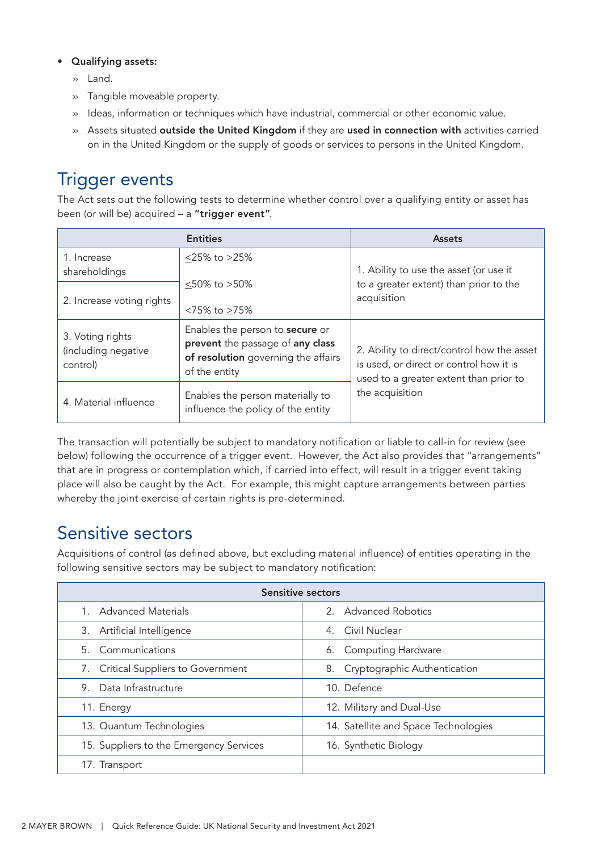#### • Qualifying assets:

- » Land.
- » Tangible moveable property.
- » Ideas, information or techniques which have industrial, commercial or other economic value.
- » Assets situated outside the United Kingdom if they are used in connection with activities carried on in the United Kingdom or the supply of goods or services to persons in the United Kingdom.

### Trigger events

The Act sets out the following tests to determine whether control over a qualifying entity or asset has been (or will be) acquired - a "trigger event".

|                                                     | <b>Entities</b>                                                                                                                    | <b>Assets</b>                                                                                                                   |
|-----------------------------------------------------|------------------------------------------------------------------------------------------------------------------------------------|---------------------------------------------------------------------------------------------------------------------------------|
| 1. Increase<br>shareholdings                        | $<$ 25% to >25%                                                                                                                    | 1. Ability to use the asset (or use it                                                                                          |
| 2. Increase voting rights                           | $<$ 50% to $>$ 50%<br><75% to ≥75%                                                                                                 | to a greater extent) than prior to the<br>acquisition                                                                           |
| 3. Voting rights<br>(including negative<br>control) | Enables the person to <b>secure</b> or<br>prevent the passage of any class<br>of resolution governing the affairs<br>of the entity | 2. Ability to direct/control how the asset<br>is used, or direct or control how it is<br>used to a greater extent than prior to |
| 4. Material influence                               | Enables the person materially to<br>influence the policy of the entity                                                             | the acquisition                                                                                                                 |

The transaction will potentially be subject to mandatory notification or liable to call-in for review (see below) following the occurrence of a trigger event. However, the Act also provides that "arrangements" that are in progress or contemplation which, if carried into effect, will result in a trigger event taking place will also be caught by the Act. For example, this might capture arrangements between parties whereby the joint exercise of certain rights is pre-determined.

### Sensitive sectors

Acquisitions of control (as defined above, but excluding material influence) of entities operating in the following sensitive sectors may be subject to mandatory notification:

| Sensitive sectors                       |                                      |  |  |  |
|-----------------------------------------|--------------------------------------|--|--|--|
| <b>Advanced Materials</b>               | 2. Advanced Robotics                 |  |  |  |
| 3. Artificial Intelligence              | 4. Civil Nuclear                     |  |  |  |
| 5. Communications                       | 6. Computing Hardware                |  |  |  |
| 7. Critical Suppliers to Government     | 8. Cryptographic Authentication      |  |  |  |
| Data Infrastructure<br>9.               | 10. Defence                          |  |  |  |
| 11. Energy                              | 12. Military and Dual-Use            |  |  |  |
| 13. Quantum Technologies                | 14. Satellite and Space Technologies |  |  |  |
| 15. Suppliers to the Emergency Services | 16. Synthetic Biology                |  |  |  |
| 17. Transport                           |                                      |  |  |  |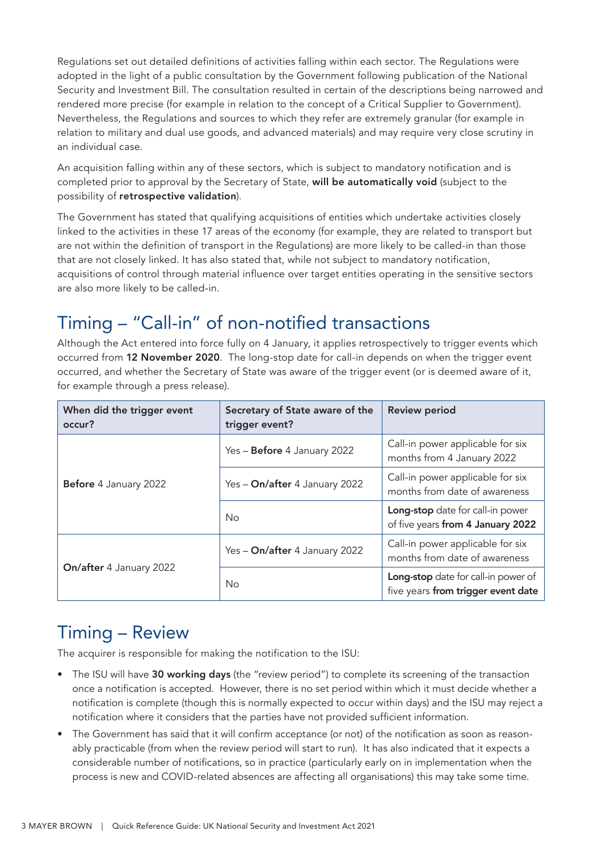Regulations set out detailed definitions of activities falling within each sector. The Regulations were adopted in the light of a public consultation by the Government following publication of the National Security and Investment Bill. The consultation resulted in certain of the descriptions being narrowed and rendered more precise (for example in relation to the concept of a Critical Supplier to Government). Nevertheless, the Regulations and sources to which they refer are extremely granular (for example in relation to military and dual use goods, and advanced materials) and may require very close scrutiny in an individual case.

An acquisition falling within any of these sectors, which is subject to mandatory notification and is completed prior to approval by the Secretary of State, will be automatically void (subject to the possibility of retrospective validation).

The Government has stated that qualifying acquisitions of entities which undertake activities closely linked to the activities in these 17 areas of the economy (for example, they are related to transport but are not within the definition of transport in the Regulations) are more likely to be called-in than those that are not closely linked. It has also stated that, while not subject to mandatory notification, acquisitions of control through material influence over target entities operating in the sensitive sectors are also more likely to be called-in.

### Timing – "Call-in" of non-notified transactions

Although the Act entered into force fully on 4 January, it applies retrospectively to trigger events which occurred from 12 November 2020. The long-stop date for call-in depends on when the trigger event occurred, and whether the Secretary of State was aware of the trigger event (or is deemed aware of it, for example through a press release).

| When did the trigger event<br>occur? | Secretary of State aware of the<br>trigger event? | <b>Review period</b>                                                      |
|--------------------------------------|---------------------------------------------------|---------------------------------------------------------------------------|
|                                      | Yes - Before 4 January 2022                       | Call-in power applicable for six<br>months from 4 January 2022            |
| Before 4 January 2022                | Yes - On/after 4 January 2022                     | Call-in power applicable for six<br>months from date of awareness         |
|                                      | No                                                | Long-stop date for call-in power<br>of five years from 4 January 2022     |
|                                      | Yes - On/after 4 January 2022                     | Call-in power applicable for six<br>months from date of awareness         |
| <b>On/after</b> 4 January 2022       | No                                                | Long-stop date for call-in power of<br>five years from trigger event date |

### Timing – Review

The acquirer is responsible for making the notification to the ISU:

- The ISU will have 30 working days (the "review period") to complete its screening of the transaction once a notification is accepted. However, there is no set period within which it must decide whether a notification is complete (though this is normally expected to occur within days) and the ISU may reject a notification where it considers that the parties have not provided sufficient information.
- The Government has said that it will confirm acceptance (or not) of the notification as soon as reasonably practicable (from when the review period will start to run). It has also indicated that it expects a considerable number of notifications, so in practice (particularly early on in implementation when the process is new and COVID-related absences are affecting all organisations) this may take some time.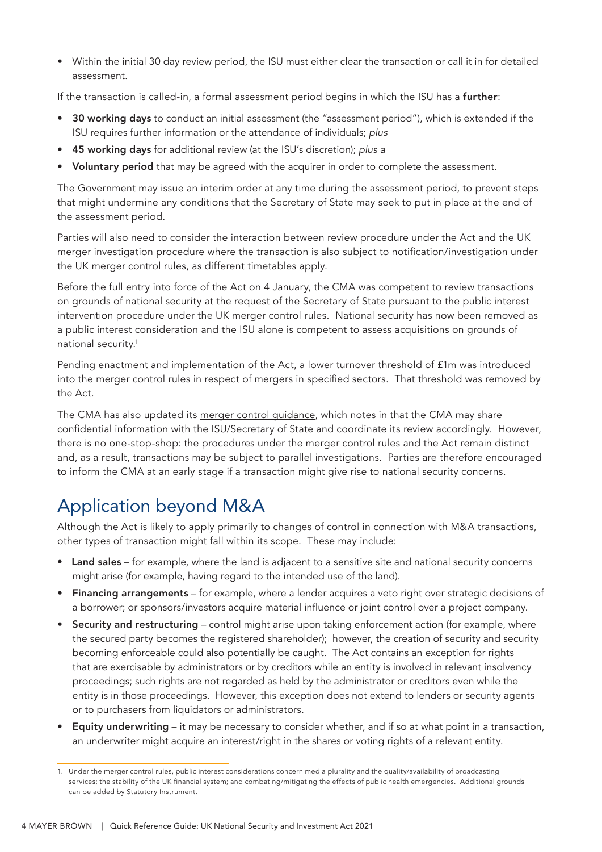• Within the initial 30 day review period, the ISU must either clear the transaction or call it in for detailed assessment.

If the transaction is called-in, a formal assessment period begins in which the ISU has a **further**:

- 30 working days to conduct an initial assessment (the "assessment period"), which is extended if the ISU requires further information or the attendance of individuals; *plus*
- 45 working days for additional review (at the ISU's discretion); *plus a*
- Voluntary period that may be agreed with the acquirer in order to complete the assessment.

The Government may issue an interim order at any time during the assessment period, to prevent steps that might undermine any conditions that the Secretary of State may seek to put in place at the end of the assessment period.

Parties will also need to consider the interaction between review procedure under the Act and the UK merger investigation procedure where the transaction is also subject to notification/investigation under the UK merger control rules, as different timetables apply.

Before the full entry into force of the Act on 4 January, the CMA was competent to review transactions on grounds of national security at the request of the Secretary of State pursuant to the public interest intervention procedure under the UK merger control rules. National security has now been removed as a public interest consideration and the ISU alone is competent to assess acquisitions on grounds of national security.1

Pending enactment and implementation of the Act, a lower turnover threshold of £1m was introduced into the merger control rules in respect of mergers in specified sectors. That threshold was removed by the Act.

The CMA has also updated its [merger control guidance,](https://www.gov.uk/government/publications/mergers-guidance-on-the-cmas-jurisdiction-and-procedure?utm_campaign=govuk-notifications&utm_content=immediately&utm_medium=email&utm_source=2c79f084-1461-41cf-afd5-e32fcbb27996#history) which notes in that the CMA may share confidential information with the ISU/Secretary of State and coordinate its review accordingly. However, there is no one-stop-shop: the procedures under the merger control rules and the Act remain distinct and, as a result, transactions may be subject to parallel investigations. Parties are therefore encouraged to inform the CMA at an early stage if a transaction might give rise to national security concerns.

### Application beyond M&A

Although the Act is likely to apply primarily to changes of control in connection with M&A transactions, other types of transaction might fall within its scope. These may include:

- Land sales for example, where the land is adiacent to a sensitive site and national security concerns might arise (for example, having regard to the intended use of the land).
- Financing arrangements for example, where a lender acquires a veto right over strategic decisions of a borrower; or sponsors/investors acquire material influence or joint control over a project company.
- Security and restructuring control might arise upon taking enforcement action (for example, where the secured party becomes the registered shareholder); however, the creation of security and security becoming enforceable could also potentially be caught. The Act contains an exception for rights that are exercisable by administrators or by creditors while an entity is involved in relevant insolvency proceedings; such rights are not regarded as held by the administrator or creditors even while the entity is in those proceedings. However, this exception does not extend to lenders or security agents or to purchasers from liquidators or administrators.
- **Equity underwriting** it may be necessary to consider whether, and if so at what point in a transaction, an underwriter might acquire an interest/right in the shares or voting rights of a relevant entity.

<sup>1.</sup> Under the merger control rules, public interest considerations concern media plurality and the quality/availability of broadcasting services; the stability of the UK financial system; and combating/mitigating the effects of public health emergencies. Additional grounds can be added by Statutory Instrument.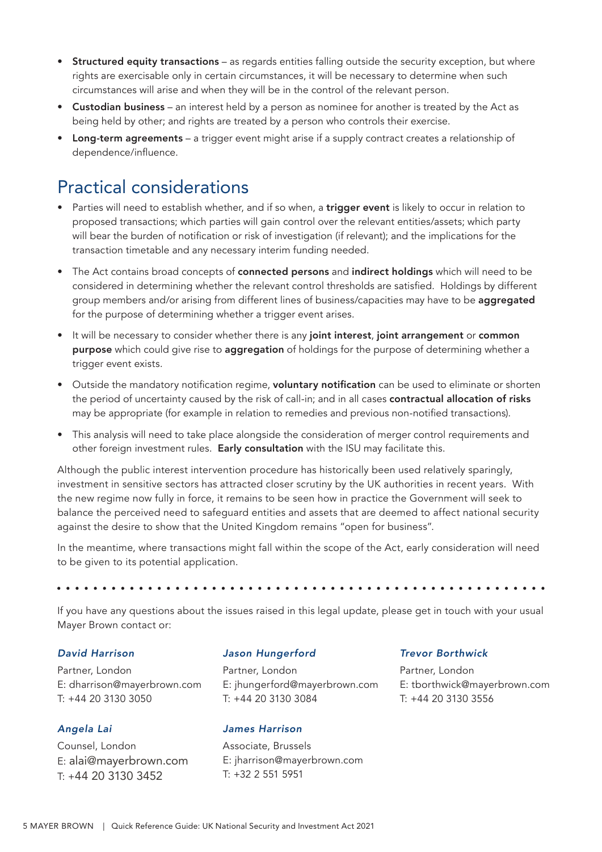- Structured equity transactions as regards entities falling outside the security exception, but where rights are exercisable only in certain circumstances, it will be necessary to determine when such circumstances will arise and when they will be in the control of the relevant person.
- Custodian business an interest held by a person as nominee for another is treated by the Act as being held by other; and rights are treated by a person who controls their exercise.
- Long-term agreements a trigger event might arise if a supply contract creates a relationship of dependence/influence.

### Practical considerations

- Parties will need to establish whether, and if so when, a trigger event is likely to occur in relation to proposed transactions; which parties will gain control over the relevant entities/assets; which party will bear the burden of notification or risk of investigation (if relevant); and the implications for the transaction timetable and any necessary interim funding needed.
- The Act contains broad concepts of **connected persons** and indirect holdings which will need to be considered in determining whether the relevant control thresholds are satisfied. Holdings by different group members and/or arising from different lines of business/capacities may have to be **aggregated** for the purpose of determining whether a trigger event arises.
- It will be necessary to consider whether there is any joint interest, joint arrangement or common purpose which could give rise to aggregation of holdings for the purpose of determining whether a trigger event exists.
- Outside the mandatory notification regime, voluntary notification can be used to eliminate or shorten the period of uncertainty caused by the risk of call-in; and in all cases contractual allocation of risks may be appropriate (for example in relation to remedies and previous non-notified transactions).
- This analysis will need to take place alongside the consideration of merger control requirements and other foreign investment rules. Early consultation with the ISU may facilitate this.

Although the public interest intervention procedure has historically been used relatively sparingly, investment in sensitive sectors has attracted closer scrutiny by the UK authorities in recent years. With the new regime now fully in force, it remains to be seen how in practice the Government will seek to balance the perceived need to safeguard entities and assets that are deemed to affect national security against the desire to show that the United Kingdom remains "open for business".

In the meantime, where transactions might fall within the scope of the Act, early consideration will need to be given to its potential application.

If you have any questions about the issues raised in this legal update, please get in touch with your usual Mayer Brown contact or:

#### *David Harrison*

Partner, London E: dharrison@mayerbrown.com T: +44 20 3130 3050

#### *Angela Lai*

Counsel, London E: alai@mayerbrown.com T: +44 20 3130 3452

#### *Jason Hungerford*

Partner, London E: jhungerford@mayerbrown.com T: +44 20 3130 3084

#### *James Harrison*

Associate, Brussels E: jharrison@mayerbrown.com T: +32 2 551 5951

#### *Trevor Borthwick*

Partner, London E: tborthwick@mayerbrown.com T: +44 20 3130 3556